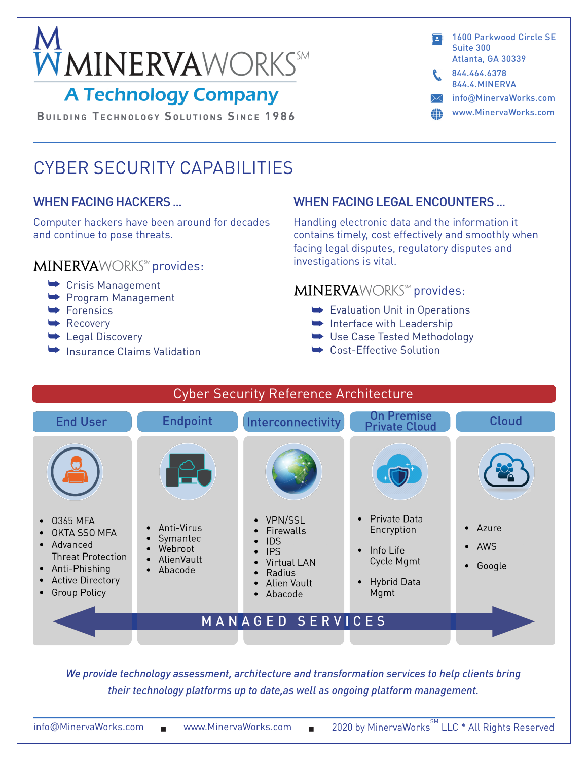

## **A Technology Company**

**BUILDING TECHNOLOGY SOLUTIONS SINCE 1986** 

- 1600 Parkwood Circle SE Suite 300 Atlanta, GA 30339
- 844.4.MINERVA 844.464.6378
- info@MinervaWorks.com
- www.MinervaWorks.com 4D

# CYBER SECURITY CAPABILITIES

### WHEN FACING HACKERS ...

Computer hackers have been around for decades and continue to pose threats.

#### **MINERVA**WORKS<sup>56</sup> provides:

- Crisis Management
- Program Management
- $\blacktriangleright$  Forensics
- $\blacktriangleright$  Recovery
- **Legal Discovery**
- Insurance Claims Validation

## WHEN FACING LEGAL ENCOUNTERS ...

Handling electronic data and the information it contains timely, cost effectively and smoothly when facing legal disputes, regulatory disputes and investigations is vital.

## **MINERVA**WORKS<sup>™</sup> provides:

- Evaluation Unit in Operations
- Interface with Leadership
- Use Case Tested Methodology
- Cost-Effective Solution



*We provide technology assessment, architecture and transformation services to help clients bring their technology platforms up to date,as well as ongoing platform management.*